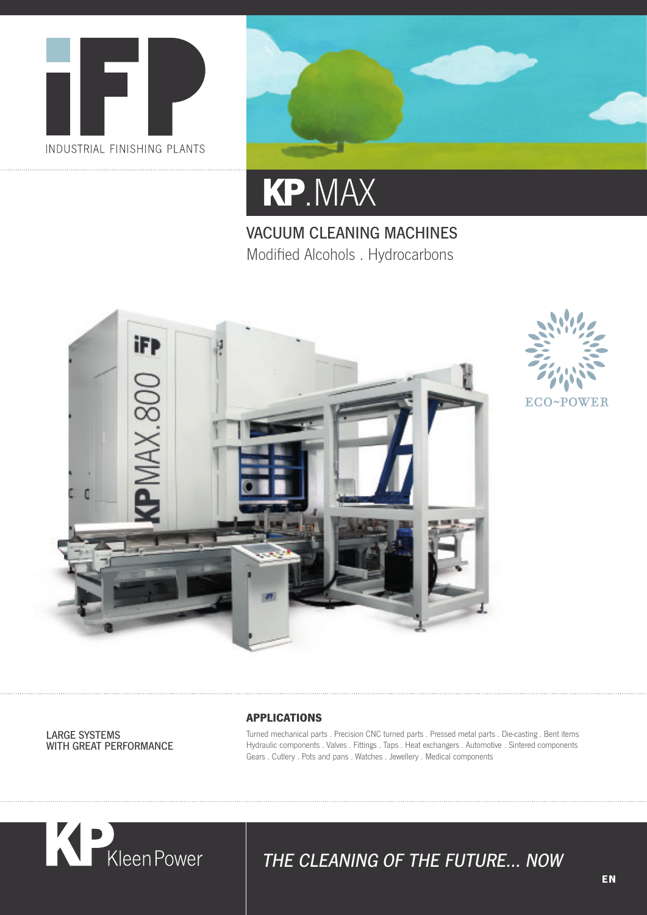



# **KP** .MAX

VACUUM CLEANING MACHINES Modified Alcohols . Hydrocarbons





LARGE SYSTEMS WITH GREAT PERFORMANCE

#### **APPLICATIONS**

Turned mechanical parts . Precision CNC turned parts . Pressed metal parts . Die-casting . Bent items Hydraulic components . Valves . Fittings . Taps . Heat exchangers . Automotive . Sintered components Gears . Cutlery . Pots and pans . Watches . Jewellery . Medical components



### THE CLEANING OF THE FUTURE… NOW